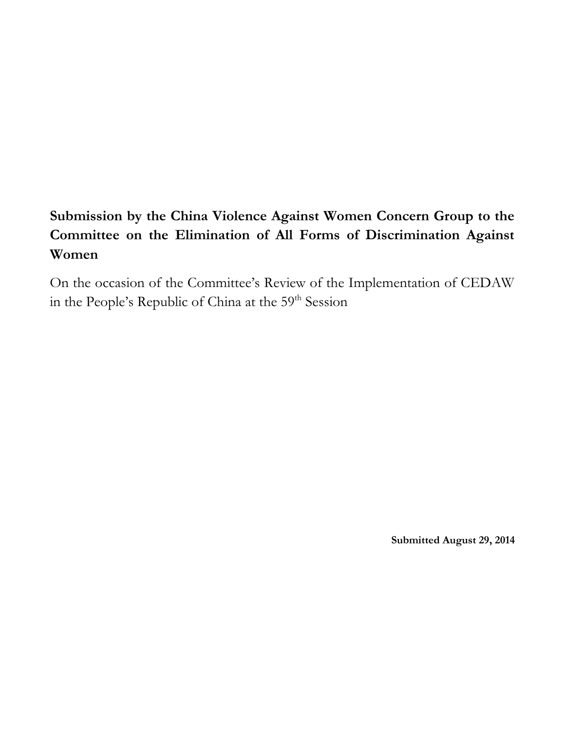# **Submission by the China Violence Against Women Concern Group to the Committee on the Elimination of All Forms of Discrimination Against Women**

On the occasion of the Committee's Review of the Implementation of CEDAW in the People's Republic of China at the 59<sup>th</sup> Session

**Submitted August 29, 2014**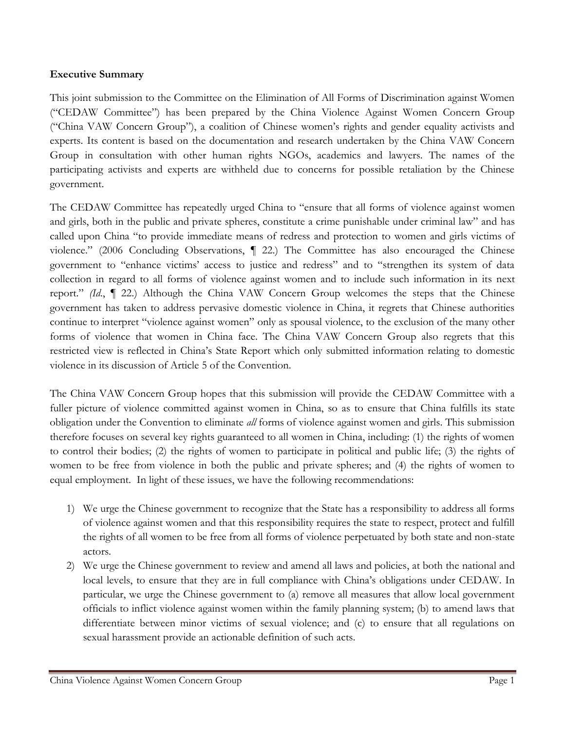# **Executive Summary**

This joint submission to the Committee on the Elimination of All Forms of Discrimination against Women ("CEDAW Committee") has been prepared by the China Violence Against Women Concern Group ("China VAW Concern Group"), a coalition of Chinese women's rights and gender equality activists and experts. Its content is based on the documentation and research undertaken by the China VAW Concern Group in consultation with other human rights NGOs, academics and lawyers. The names of the participating activists and experts are withheld due to concerns for possible retaliation by the Chinese government.

The CEDAW Committee has repeatedly urged China to "ensure that all forms of violence against women and girls, both in the public and private spheres, constitute a crime punishable under criminal law" and has called upon China "to provide immediate means of redress and protection to women and girls victims of violence." (2006 Concluding Observations, ¶ 22.) The Committee has also encouraged the Chinese government to "enhance victims' access to justice and redress" and to "strengthen its system of data collection in regard to all forms of violence against women and to include such information in its next report." *(Id*., ¶ 22.) Although the China VAW Concern Group welcomes the steps that the Chinese government has taken to address pervasive domestic violence in China, it regrets that Chinese authorities continue to interpret "violence against women" only as spousal violence, to the exclusion of the many other forms of violence that women in China face. The China VAW Concern Group also regrets that this restricted view is reflected in China's State Report which only submitted information relating to domestic violence in its discussion of Article 5 of the Convention.

The China VAW Concern Group hopes that this submission will provide the CEDAW Committee with a fuller picture of violence committed against women in China, so as to ensure that China fulfills its state obligation under the Convention to eliminate *all* forms of violence against women and girls. This submission therefore focuses on several key rights guaranteed to all women in China, including: (1) the rights of women to control their bodies; (2) the rights of women to participate in political and public life; (3) the rights of women to be free from violence in both the public and private spheres; and (4) the rights of women to equal employment. In light of these issues, we have the following recommendations:

- 1) We urge the Chinese government to recognize that the State has a responsibility to address all forms of violence against women and that this responsibility requires the state to respect, protect and fulfill the rights of all women to be free from all forms of violence perpetuated by both state and non-state actors.
- 2) We urge the Chinese government to review and amend all laws and policies, at both the national and local levels, to ensure that they are in full compliance with China's obligations under CEDAW. In particular, we urge the Chinese government to (a) remove all measures that allow local government officials to inflict violence against women within the family planning system; (b) to amend laws that differentiate between minor victims of sexual violence; and (c) to ensure that all regulations on sexual harassment provide an actionable definition of such acts.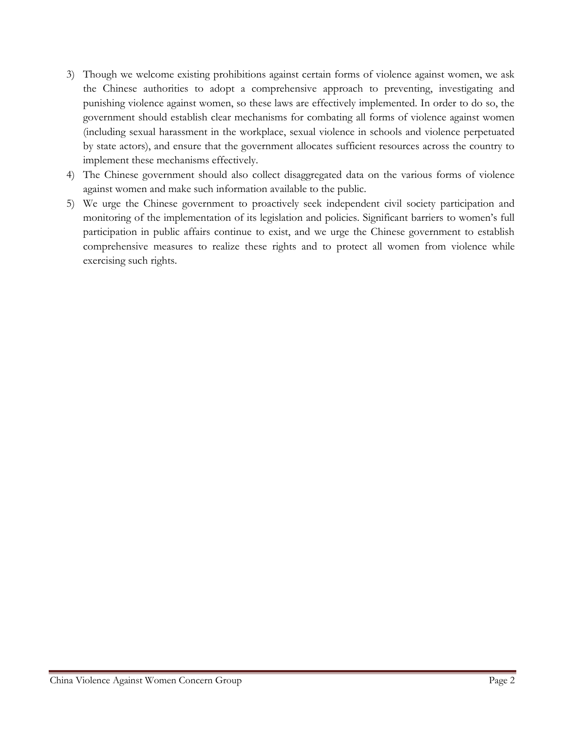- 3) Though we welcome existing prohibitions against certain forms of violence against women, we ask the Chinese authorities to adopt a comprehensive approach to preventing, investigating and punishing violence against women, so these laws are effectively implemented. In order to do so, the government should establish clear mechanisms for combating all forms of violence against women (including sexual harassment in the workplace, sexual violence in schools and violence perpetuated by state actors), and ensure that the government allocates sufficient resources across the country to implement these mechanisms effectively.
- 4) The Chinese government should also collect disaggregated data on the various forms of violence against women and make such information available to the public.
- 5) We urge the Chinese government to proactively seek independent civil society participation and monitoring of the implementation of its legislation and policies. Significant barriers to women's full participation in public affairs continue to exist, and we urge the Chinese government to establish comprehensive measures to realize these rights and to protect all women from violence while exercising such rights.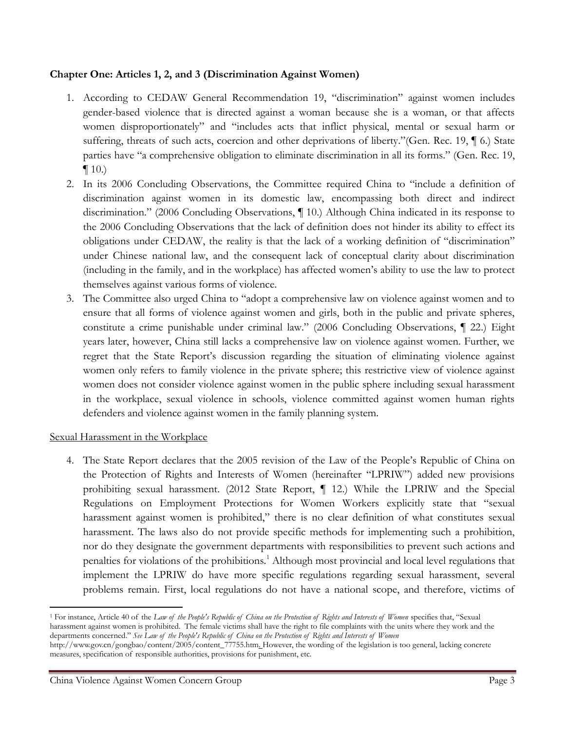# **Chapter One: Articles 1, 2, and 3 (Discrimination Against Women)**

- 1. According to CEDAW General Recommendation 19, "discrimination" against women includes gender-based violence that is directed against a woman because she is a woman, or that affects women disproportionately" and "includes acts that inflict physical, mental or sexual harm or suffering, threats of such acts, coercion and other deprivations of liberty."(Gen. Rec. 19, ¶ 6.) State parties have "a comprehensive obligation to eliminate discrimination in all its forms." (Gen. Rec. 19,  $\P$  10.)
- 2. In its 2006 Concluding Observations, the Committee required China to "include a definition of discrimination against women in its domestic law, encompassing both direct and indirect discrimination." (2006 Concluding Observations, ¶ 10.) Although China indicated in its response to the 2006 Concluding Observations that the lack of definition does not hinder its ability to effect its obligations under CEDAW, the reality is that the lack of a working definition of "discrimination" under Chinese national law, and the consequent lack of conceptual clarity about discrimination (including in the family, and in the workplace) has affected women's ability to use the law to protect themselves against various forms of violence.
- 3. The Committee also urged China to "adopt a comprehensive law on violence against women and to ensure that all forms of violence against women and girls, both in the public and private spheres, constitute a crime punishable under criminal law." (2006 Concluding Observations, ¶ 22.) Eight years later, however, China still lacks a comprehensive law on violence against women. Further, we regret that the State Report's discussion regarding the situation of eliminating violence against women only refers to family violence in the private sphere; this restrictive view of violence against women does not consider violence against women in the public sphere including sexual harassment in the workplace, sexual violence in schools, violence committed against women human rights defenders and violence against women in the family planning system.

## Sexual Harassment in the Workplace

4. The State Report declares that the 2005 revision of the Law of the People's Republic of China on the Protection of Rights and Interests of Women (hereinafter "LPRIW") added new provisions prohibiting sexual harassment. (2012 State Report, ¶ 12.) While the LPRIW and the Special Regulations on Employment Protections for Women Workers explicitly state that "sexual harassment against women is prohibited," there is no clear definition of what constitutes sexual harassment. The laws also do not provide specific methods for implementing such a prohibition, nor do they designate the government departments with responsibilities to prevent such actions and penalties for violations of the prohibitions.<sup>1</sup> Although most provincial and local level regulations that implement the LPRIW do have more specific regulations regarding sexual harassment, several problems remain. First, local regulations do not have a national scope, and therefore, victims of

l

<sup>&</sup>lt;sup>1</sup> For instance, Article 40 of the *Law of the People's Republic of China on the Protection of Rights and Interests of Women specifies that, "Sexual* harassment against women is prohibited. The female victims shall have the right to file complaints with the units where they work and the departments concerned." *See Law of the People's Republic of China on the Protection of Rights and Interests of Women* 

[http://www.gov.cn/gongbao/content/2005/content\\_77755.htm.](http://www.gov.cn/gongbao/content/2005/content_77755.htm) However, the wording of the legislation is too general, lacking concrete measures, specification of responsible authorities, provisions for punishment, etc.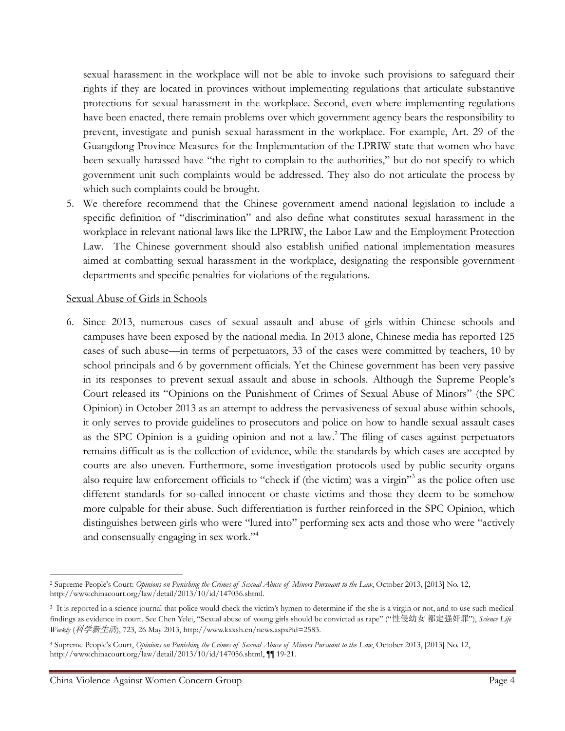sexual harassment in the workplace will not be able to invoke such provisions to safeguard their rights if they are located in provinces without implementing regulations that articulate substantive protections for sexual harassment in the workplace. Second, even where implementing regulations have been enacted, there remain problems over which government agency bears the responsibility to prevent, investigate and punish sexual harassment in the workplace. For example, Art. 29 of the Guangdong Province Measures for the Implementation of the LPRIW state that women who have been sexually harassed have "the right to complain to the authorities," but do not specify to which government unit such complaints would be addressed. They also do not articulate the process by which such complaints could be brought.

5. We therefore recommend that the Chinese government amend national legislation to include a specific definition of "discrimination" and also define what constitutes sexual harassment in the workplace in relevant national laws like the LPRIW, the Labor Law and the Employment Protection Law. The Chinese government should also establish unified national implementation measures aimed at combatting sexual harassment in the workplace, designating the responsible government departments and specific penalties for violations of the regulations.

## Sexual Abuse of Girls in Schools

6. Since 2013, numerous cases of sexual assault and abuse of girls within Chinese schools and campuses have been exposed by the national media. In 2013 alone, Chinese media has reported 125 cases of such abuse—in terms of perpetuators, 33 of the cases were committed by teachers, 10 by school principals and 6 by government officials. Yet the Chinese government has been very passive in its responses to prevent sexual assault and abuse in schools. Although the Supreme People's Court released its "Opinions on the Punishment of Crimes of Sexual Abuse of Minors" (the SPC Opinion) in October 2013 as an attempt to address the pervasiveness of sexual abuse within schools, it only serves to provide guidelines to prosecutors and police on how to handle sexual assault cases as the SPC Opinion is a guiding opinion and not a law.<sup>2</sup> The filing of cases against perpetuators remains difficult as is the collection of evidence, while the standards by which cases are accepted by courts are also uneven. Furthermore, some investigation protocols used by public security organs also require law enforcement officials to "check if (the victim) was a virgin"<sup>3</sup> as the police often use different standards for so-called innocent or chaste victims and those they deem to be somehow more culpable for their abuse. Such differentiation is further reinforced in the SPC Opinion, which distinguishes between girls who were "lured into" performing sex acts and those who were "actively and consensually engaging in sex work." 4

<sup>2</sup> Supreme People's Court: *Opinions on Punishing the Crimes of Sexual Abuse of Minors Pursuant to the Law*, October 2013, [2013] No. 12, [http://www.chinacourt.org/law/detail/2013/10/id/147056.shtml.](http://www.chinacourt.org/law/detail/2013/10/id/147056.shtml)

<sup>3</sup> It is reported in a science journal that police would check the victim's hymen to determine if the she is a virgin or not, and to use such medical findings as evidence in court. See Chen Yelei, "Sexual abuse of young girls should be convicted as rape" ("性侵幼女 都定强奸罪"), *Science Life Weekly* (科学新生活), 723, 26 May 2013, [http://www.kxxsh.cn/news.aspx?id=2583.](http://www.kxxsh.cn/news.aspx?id=2583)

<sup>4</sup> Supreme People's Court, *Opinions on Punishing the Crimes of Sexual Abuse of Minors Pursuant to the Law*, October 2013, [2013] No. 12, [http://www.chinacourt.org/law/detail/2013/10/id/147056.shtml,](http://www.chinacourt.org/law/detail/2013/10/id/147056.shtml) ¶¶ 19-21.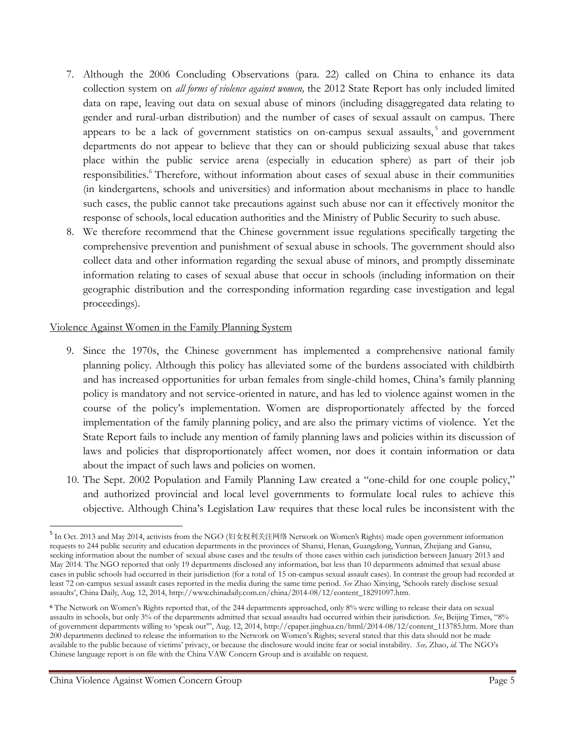- 7. Although the 2006 Concluding Observations (para. 22) called on China to enhance its data collection system on *all forms of violence against women,* the 2012 State Report has only included limited data on rape, leaving out data on sexual abuse of minors (including disaggregated data relating to gender and rural-urban distribution) and the number of cases of sexual assault on campus. There appears to be a lack of government statistics on on-campus sexual assaults,<sup>5</sup> and government departments do not appear to believe that they can or should publicizing sexual abuse that takes place within the public service arena (especially in education sphere) as part of their job responsibilities.<sup>6</sup> Therefore, without information about cases of sexual abuse in their communities (in kindergartens, schools and universities) and information about mechanisms in place to handle such cases, the public cannot take precautions against such abuse nor can it effectively monitor the response of schools, local education authorities and the Ministry of Public Security to such abuse.
- 8. We therefore recommend that the Chinese government issue regulations specifically targeting the comprehensive prevention and punishment of sexual abuse in schools. The government should also collect data and other information regarding the sexual abuse of minors, and promptly disseminate information relating to cases of sexual abuse that occur in schools (including information on their geographic distribution and the corresponding information regarding case investigation and legal proceedings).

## Violence Against Women in the Family Planning System

- 9. Since the 1970s, the Chinese government has implemented a comprehensive national family planning policy. Although this policy has alleviated some of the burdens associated with childbirth and has increased opportunities for urban females from single-child homes, China's family planning policy is mandatory and not service-oriented in nature, and has led to violence against women in the course of the policy's implementation. Women are disproportionately affected by the forced implementation of the family planning policy, and are also the primary victims of violence. Yet the State Report fails to include any mention of family planning laws and policies within its discussion of laws and policies that disproportionately affect women, nor does it contain information or data about the impact of such laws and policies on women.
- 10. The Sept. 2002 Population and Family Planning Law created a "one-child for one couple policy," and authorized provincial and local level governments to formulate local rules to achieve this objective. Although China's Legislation Law requires that these local rules be inconsistent with the

<sup>&</sup>lt;sup>5</sup> In Oct. 2013 and May 2014, activists from the NGO (妇女权利关注网络 Network on Women's Rights) made open government information requests to 244 public security and education departments in the provinces of Shanxi, Henan, Guangdong, Yunnan, Zhejiang and Gansu, seeking information about the number of sexual abuse cases and the results of those cases within each jurisdiction between January 2013 and May 2014. The NGO reported that only 19 departments disclosed any information, but less than 10 departments admitted that sexual abuse cases in public schools had occurred in their jurisdiction (for a total of 15 on-campus sexual assault cases). In contrast the group had recorded at least 72 on-campus sexual assault cases reported in the media during the same time period. *See* Zhao Xinying, 'Schools rarely disclose sexual assaults', China Daily, Aug. 12, 2014, [http://www.chinadaily.com.cn/china/2014-08/12/content\\_18291097.htm.](http://www.chinadaily.com.cn/china/2014-08/12/content_18291097.htm) 

**<sup>6</sup>** The Network on Women's Rights reported that, of the 244 departments approached, only 8% were willing to release their data on sexual assaults in schools, but only 3% of the departments admitted that sexual assaults had occurred within their jurisdiction. *See*, Beijing Times, "8% of government departments willing to 'speak out'", Aug. 12, 2014, [http://epaper.jinghua.cn/html/2014-08/12/content\\_113785.htm.](http://epaper.jinghua.cn/html/2014-08/12/content_113785.htm) More than 200 departments declined to release the information to the Network on Women's Rights; several stated that this data should not be made available to the public because of victims' privacy, or because the disclosure would incite fear or social instability. *See,* Zhao, *id.* The NGO's Chinese language report is on file with the China VAW Concern Group and is available on request.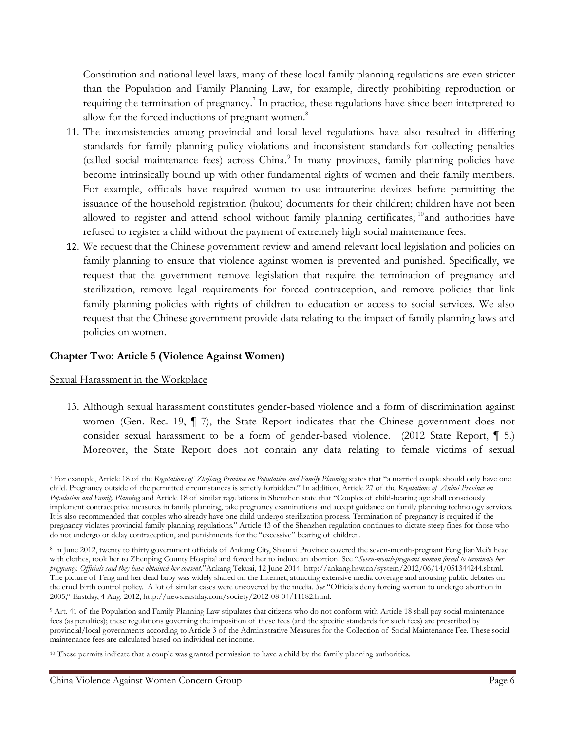Constitution and national level laws, many of these local family planning regulations are even stricter than the Population and Family Planning Law, for example, directly prohibiting reproduction or requiring the termination of pregnancy.<sup>7</sup> In practice, these regulations have since been interpreted to allow for the forced inductions of pregnant women.<sup>8</sup>

- 11. The inconsistencies among provincial and local level regulations have also resulted in differing standards for family planning policy violations and inconsistent standards for collecting penalties (called social maintenance fees) across China. 9 In many provinces, family planning policies have become intrinsically bound up with other fundamental rights of women and their family members. For example, officials have required women to use intrauterine devices before permitting the issuance of the household registration (hukou) documents for their children; children have not been allowed to register and attend school without family planning certificates;<sup>10</sup>and authorities have refused to register a child without the payment of extremely high social maintenance fees.
- 12. We request that the Chinese government review and amend relevant local legislation and policies on family planning to ensure that violence against women is prevented and punished. Specifically, we request that the government remove legislation that require the termination of pregnancy and sterilization, remove legal requirements for forced contraception, and remove policies that link family planning policies with rights of children to education or access to social services. We also request that the Chinese government provide data relating to the impact of family planning laws and policies on women.

# **Chapter Two: Article 5 (Violence Against Women)**

## Sexual Harassment in the Workplace

 $\overline{a}$ 

13. Although sexual harassment constitutes gender-based violence and a form of discrimination against women (Gen. Rec. 19, ¶ 7), the State Report indicates that the Chinese government does not consider sexual harassment to be a form of gender-based violence. (2012 State Report, ¶ 5.) Moreover, the State Report does not contain any data relating to female victims of sexual

<sup>7</sup> For example, Article 18 of the *Regulations of Zhejiang Province on Population and Family Planning* states that "a married couple should only have one child. Pregnancy outside of the permitted circumstances is strictly forbidden." In addition, Article 27 of the *Regulations of Anhui Province on Population and Family Planning* and Article 18 of similar regulations in Shenzhen state that "Couples of child-bearing age shall consciously implement contraceptive measures in family planning, take pregnancy examinations and accept guidance on family planning technology services. It is also recommended that couples who already have one child undergo sterilization process. Termination of pregnancy is required if the pregnancy violates provincial family-planning regulations." Article 43 of the Shenzhen regulation continues to dictate steep fines for those who do not undergo or delay contraception, and punishments for the "excessive" bearing of children.

<sup>8</sup> In June 2012, twenty to thirty government officials of Ankang City, Shaanxi Province covered the seven-month-pregnant Feng JianMei's head with clothes, took her to Zhenping County Hospital and forced her to induce an abortion. See "*Seven-month-pregnant woman forced to terminate her pregnancy. Officials said they have obtained her consent,*"Ankang Tekuai, 12 June 2014, [http://ankang.hsw.cn/system/2012/06/14/051344244.shtml.](http://ankang.hsw.cn/system/2012/06/14/051344244.shtml)  The picture of Feng and her dead baby was widely shared on the Internet, attracting extensive media coverage and arousing public debates on the cruel birth control policy. A lot of similar cases were uncovered by the media. *See* "Officials deny forcing woman to undergo abortion in 2005," Eastday, 4 Aug. 2012[, http://news.eastday.com/society/2012-08-04/11182.html.](http://news.eastday.com/society/2012-08-04/11182.html)

<sup>9</sup> Art. 41 of the Population and Family Planning Law stipulates that citizens who do not conform with Article 18 shall pay social maintenance fees (as penalties); these regulations governing the imposition of these fees (and the specific standards for such fees) are prescribed by provincial/local governments according to Article 3 of the Administrative Measures for the Collection of Social Maintenance Fee. These social maintenance fees are calculated based on individual net income.

<sup>&</sup>lt;sup>10</sup> These permits indicate that a couple was granted permission to have a child by the family planning authorities.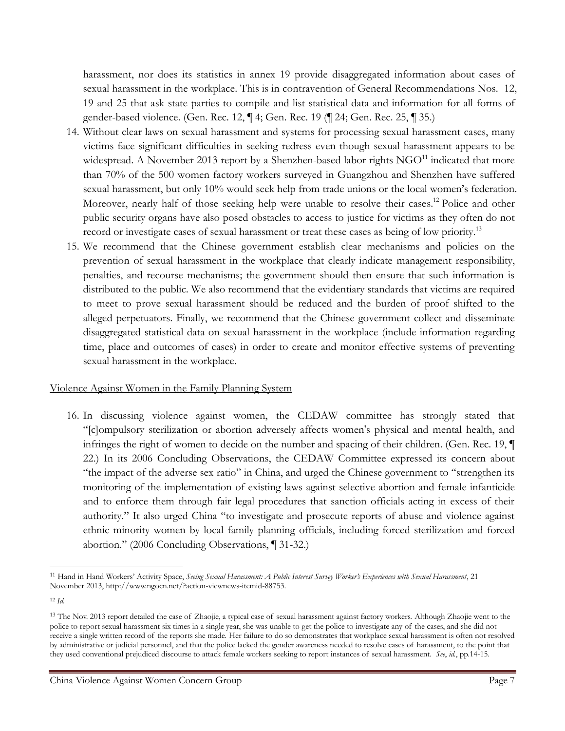harassment, nor does its statistics in annex 19 provide disaggregated information about cases of sexual harassment in the workplace. This is in contravention of General Recommendations Nos. 12, 19 and 25 that ask state parties to compile and list statistical data and information for all forms of gender-based violence. (Gen. Rec. 12, ¶ 4; Gen. Rec. 19 (¶ 24; Gen. Rec. 25, ¶ 35.)

- 14. Without clear laws on sexual harassment and systems for processing sexual harassment cases, many victims face significant difficulties in seeking redress even though sexual harassment appears to be widespread. A November 2013 report by a Shenzhen-based labor rights  $NGO<sup>11</sup>$  indicated that more than 70% of the 500 women factory workers surveyed in Guangzhou and Shenzhen have suffered sexual harassment, but only 10% would seek help from trade unions or the local women's federation. Moreover, nearly half of those seeking help were unable to resolve their cases.<sup>12</sup> Police and other public security organs have also posed obstacles to access to justice for victims as they often do not record or investigate cases of sexual harassment or treat these cases as being of low priority.<sup>13</sup>
- 15. We recommend that the Chinese government establish clear mechanisms and policies on the prevention of sexual harassment in the workplace that clearly indicate management responsibility, penalties, and recourse mechanisms; the government should then ensure that such information is distributed to the public. We also recommend that the evidentiary standards that victims are required to meet to prove sexual harassment should be reduced and the burden of proof shifted to the alleged perpetuators. Finally, we recommend that the Chinese government collect and disseminate disaggregated statistical data on sexual harassment in the workplace (include information regarding time, place and outcomes of cases) in order to create and monitor effective systems of preventing sexual harassment in the workplace.

#### Violence Against Women in the Family Planning System

16. In discussing violence against women, the CEDAW committee has strongly stated that "[c]ompulsory sterilization or abortion adversely affects women's physical and mental health, and infringes the right of women to decide on the number and spacing of their children. (Gen. Rec. 19, ¶ 22.) In its 2006 Concluding Observations, the CEDAW Committee expressed its concern about "the impact of the adverse sex ratio" in China, and urged the Chinese government to "strengthen its monitoring of the implementation of existing laws against selective abortion and female infanticide and to enforce them through fair legal procedures that sanction officials acting in excess of their authority." It also urged China "to investigate and prosecute reports of abuse and violence against ethnic minority women by local family planning officials, including forced sterilization and forced abortion." (2006 Concluding Observations, ¶ 31-32.)

<sup>11</sup> Hand in Hand Workers' Activity Space, *Seeing Sexual Harassment: A Public Interest Survey Worker's Experiences with Sexual Harassment*, 21 November 2013, [http://www.ngocn.net/?action-viewnews-itemid-88753.](http://www.ngocn.net/?action-viewnews-itemid-88753)

<sup>12</sup> *Id.* 

<sup>&</sup>lt;sup>13</sup> The Nov. 2013 report detailed the case of Zhaojie, a typical case of sexual harassment against factory workers. Although Zhaojie went to the police to report sexual harassment six times in a single year, she was unable to get the police to investigate any of the cases, and she did not receive a single written record of the reports she made. Her failure to do so demonstrates that workplace sexual harassment is often not resolved by administrative or judicial personnel, and that the police lacked the gender awareness needed to resolve cases of harassment, to the point that they used conventional prejudiced discourse to attack female workers seeking to report instances of sexual harassment. *See*, *id.*, pp.14-15.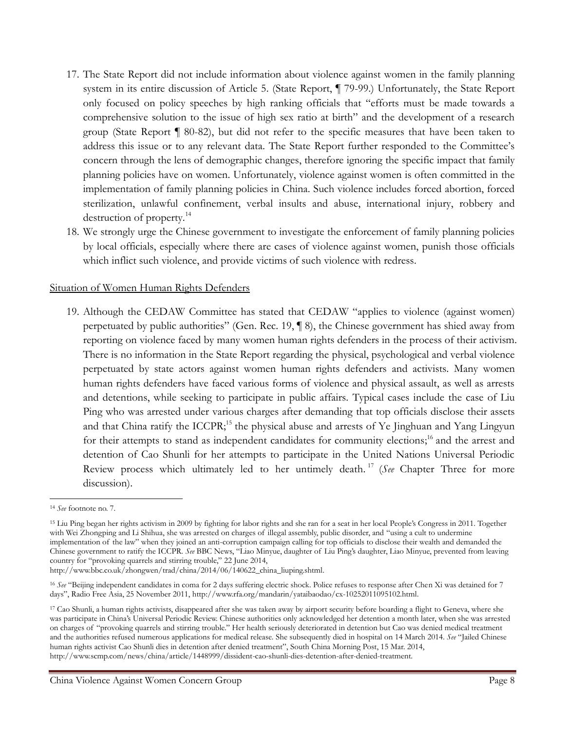- 17. The State Report did not include information about violence against women in the family planning system in its entire discussion of Article 5. (State Report, ¶ 79-99.) Unfortunately, the State Report only focused on policy speeches by high ranking officials that "efforts must be made towards a comprehensive solution to the issue of high sex ratio at birth" and the development of a research group (State Report ¶ 80-82), but did not refer to the specific measures that have been taken to address this issue or to any relevant data. The State Report further responded to the Committee's concern through the lens of demographic changes, therefore ignoring the specific impact that family planning policies have on women. Unfortunately, violence against women is often committed in the implementation of family planning policies in China. Such violence includes forced abortion, forced sterilization, unlawful confinement, verbal insults and abuse, international injury, robbery and destruction of property.<sup>14</sup>
- 18. We strongly urge the Chinese government to investigate the enforcement of family planning policies by local officials, especially where there are cases of violence against women, punish those officials which inflict such violence, and provide victims of such violence with redress.

## Situation of Women Human Rights Defenders

19. Although the CEDAW Committee has stated that CEDAW "applies to violence (against women) perpetuated by public authorities" (Gen. Rec. 19, ¶ 8), the Chinese government has shied away from reporting on violence faced by many women human rights defenders in the process of their activism. There is no information in the State Report regarding the physical, psychological and verbal violence perpetuated by state actors against women human rights defenders and activists. Many women human rights defenders have faced various forms of violence and physical assault, as well as arrests and detentions, while seeking to participate in public affairs. Typical cases include the case of Liu Ping who was arrested under various charges after demanding that top officials disclose their assets and that China ratify the ICCPR;<sup>15</sup> the physical abuse and arrests of Ye Jinghuan and Yang Lingyun for their attempts to stand as independent candidates for community elections;<sup>16</sup> and the arrest and detention of Cao Shunli for her attempts to participate in the United Nations Universal Periodic Review process which ultimately led to her untimely death. <sup>17</sup> (*See* Chapter Three for more discussion).

<sup>14</sup> *See* footnote no. 7.

<sup>15</sup> Liu Ping began her rights activism in 2009 by fighting for labor rights and she ran for a seat in her local People's Congress in 2011. Together with Wei Zhongping and Li Shihua, she was arrested on charges of illegal assembly, public disorder, and "using a cult to undermine implementation of the law" when they joined an anti-corruption campaign calling for top officials to disclose their wealth and demanded the Chinese government to ratify the ICCPR. *See* BBC News, "Liao Minyue, daughter of Liu Ping's daughter, Liao Minyue, prevented from leaving country for "provoking quarrels and stirring trouble," 22 June 2014,

[http://www.bbc.co.uk/zhongwen/trad/china/2014/06/140622\\_china\\_liuping.shtml.](http://www.bbc.co.uk/zhongwen/trad/china/2014/06/140622_china_liuping.shtml) 

<sup>16</sup> *See* "Beijing independent candidates in coma for 2 days suffering electric shock. Police refuses to response after Chen Xi was detained for 7 days", Radio Free Asia, 25 November 2011[, http://www.rfa.org/mandarin/yataibaodao/cx-10252011095102.html.](http://www.rfa.org/mandarin/yataibaodao/cx-10252011095102.html) 

<sup>17</sup> Cao Shunli, a human rights activists, disappeared after she was taken away by airport security before boarding a flight to Geneva, where she was participate in China's Universal Periodic Review. Chinese authorities only acknowledged her detention a month later, when she was arrested on charges of "provoking quarrels and stirring trouble." Her health seriously deteriorated in detention but Cao was denied medical treatment and the authorities refused numerous applications for medical release. She subsequently died in hospital on 14 March 2014. *See* "Jailed Chinese human rights activist Cao Shunli dies in detention after denied treatment", South China Morning Post, 15 Mar. 2014, http://www.scmp.com/news/china/article/1448999/dissident-cao-shunli-dies-detention-after-denied-treatment.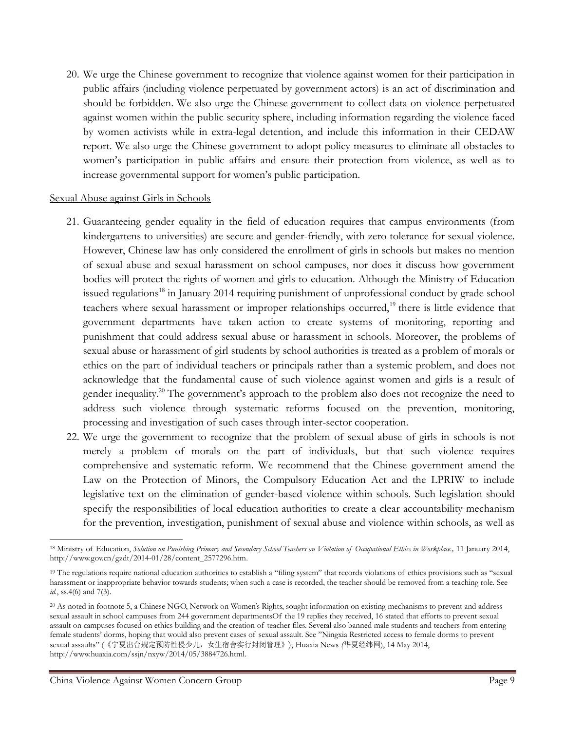20. We urge the Chinese government to recognize that violence against women for their participation in public affairs (including violence perpetuated by government actors) is an act of discrimination and should be forbidden. We also urge the Chinese government to collect data on violence perpetuated against women within the public security sphere, including information regarding the violence faced by women activists while in extra-legal detention, and include this information in their CEDAW report. We also urge the Chinese government to adopt policy measures to eliminate all obstacles to women's participation in public affairs and ensure their protection from violence, as well as to increase governmental support for women's public participation.

## Sexual Abuse against Girls in Schools

- 21. Guaranteeing gender equality in the field of education requires that campus environments (from kindergartens to universities) are secure and gender-friendly, with zero tolerance for sexual violence. However, Chinese law has only considered the enrollment of girls in schools but makes no mention of sexual abuse and sexual harassment on school campuses, nor does it discuss how government bodies will protect the rights of women and girls to education. Although the Ministry of Education issued regulations<sup>18</sup> in January 2014 requiring punishment of unprofessional conduct by grade school teachers where sexual harassment or improper relationships occurred,<sup>19</sup> there is little evidence that government departments have taken action to create systems of monitoring, reporting and punishment that could address sexual abuse or harassment in schools. Moreover, the problems of sexual abuse or harassment of girl students by school authorities is treated as a problem of morals or ethics on the part of individual teachers or principals rather than a systemic problem, and does not acknowledge that the fundamental cause of such violence against women and girls is a result of gender inequality.<sup>20</sup> The government's approach to the problem also does not recognize the need to address such violence through systematic reforms focused on the prevention, monitoring, processing and investigation of such cases through inter-sector cooperation.
- 22. We urge the government to recognize that the problem of sexual abuse of girls in schools is not merely a problem of morals on the part of individuals, but that such violence requires comprehensive and systematic reform. We recommend that the Chinese government amend the Law on the Protection of Minors, the Compulsory Education Act and the LPRIW to include legislative text on the elimination of gender-based violence within schools. Such legislation should specify the responsibilities of local education authorities to create a clear accountability mechanism for the prevention, investigation, punishment of sexual abuse and violence within schools, as well as

 $\overline{\phantom{a}}$ <sup>18</sup> Ministry of Education, *Solution on Punishing Primary and Secondary School Teachers on Violation of Occupational Ethics in Workplace.,* 11 January 2014, [http://www.gov.cn/gzdt/2014-01/28/content\\_2577296.htm.](http://www.gov.cn/gzdt/2014-01/28/content_2577296.htm)

<sup>&</sup>lt;sup>19</sup> The regulations require national education authorities to establish a "filing system" that records violations of ethics provisions such as "sexual harassment or inappropriate behavior towards students; when such a case is recorded, the teacher should be removed from a teaching role. See *id.*, ss. 4(6) and 7(3).

<sup>20</sup> As noted in footnote 5, a Chinese NGO, Network on Women's Rights, sought information on existing mechanisms to prevent and address sexual assault in school campuses from 244 government departmentsOf the 19 replies they received, 16 stated that efforts to prevent sexual assault on campuses focused on ethics building and the creation of teacher files. Several also banned male students and teachers from entering female students' dorms, hoping that would also prevent cases of sexual assault. See "Ningxia Restricted access to female dorms to prevent sexual assaults" (《宁夏出台规定预防性侵少儿,女生宿舍实行封闭管理》), Huaxia News *(*华夏经纬网), 14 May 2014, [http://www.huaxia.com/ssjn/nxyw/2014/05/3884726.html.](http://www.huaxia.com/ssjn/nxyw/2014/05/3884726.html)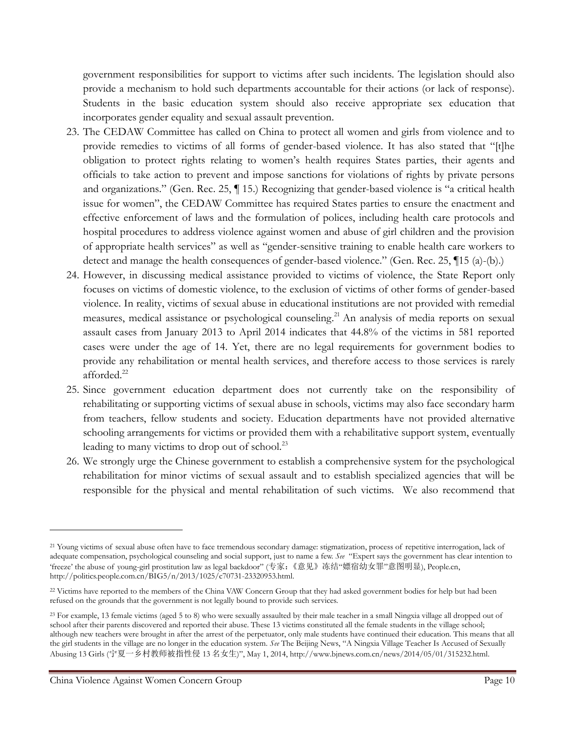government responsibilities for support to victims after such incidents. The legislation should also provide a mechanism to hold such departments accountable for their actions (or lack of response). Students in the basic education system should also receive appropriate sex education that incorporates gender equality and sexual assault prevention.

- 23. The CEDAW Committee has called on China to protect all women and girls from violence and to provide remedies to victims of all forms of gender-based violence. It has also stated that "[t]he obligation to protect rights relating to women's health requires States parties, their agents and officials to take action to prevent and impose sanctions for violations of rights by private persons and organizations." (Gen. Rec. 25, ¶ 15.) Recognizing that gender-based violence is "a critical health issue for women", the CEDAW Committee has required States parties to ensure the enactment and effective enforcement of laws and the formulation of polices, including health care protocols and hospital procedures to address violence against women and abuse of girl children and the provision of appropriate health services" as well as "gender-sensitive training to enable health care workers to detect and manage the health consequences of gender-based violence." (Gen. Rec. 25, ¶15 (a)-(b).)
- 24. However, in discussing medical assistance provided to victims of violence, the State Report only focuses on victims of domestic violence, to the exclusion of victims of other forms of gender-based violence. In reality, victims of sexual abuse in educational institutions are not provided with remedial measures, medical assistance or psychological counseling.<sup>21</sup> An analysis of media reports on sexual assault cases from January 2013 to April 2014 indicates that 44.8% of the victims in 581 reported cases were under the age of 14. Yet, there are no legal requirements for government bodies to provide any rehabilitation or mental health services, and therefore access to those services is rarely afforded.<sup>22</sup>
- 25. Since government education department does not currently take on the responsibility of rehabilitating or supporting victims of sexual abuse in schools, victims may also face secondary harm from teachers, fellow students and society. Education departments have not provided alternative schooling arrangements for victims or provided them with a rehabilitative support system, eventually leading to many victims to drop out of school. $^{23}$
- 26. We strongly urge the Chinese government to establish a comprehensive system for the psychological rehabilitation for minor victims of sexual assault and to establish specialized agencies that will be responsible for the physical and mental rehabilitation of such victims. We also recommend that

<sup>21</sup> Young victims of sexual abuse often have to face tremendous secondary damage: stigmatization, process of repetitive interrogation, lack of adequate compensation, psychological counseling and social support, just to name a few. *See* "Expert says the government has clear intention to 'freeze' the abuse of young-girl prostitution law as legal backdoor" (专家:《意见》冻结"嫖宿幼女罪"意图明显), People.cn, [http://politics.people.com.cn/BIG5/n/2013/1025/c70731-23320953.html.](http://politics.people.com.cn/BIG5/n/2013/1025/c70731-23320953.html)

<sup>&</sup>lt;sup>22</sup> Victims have reported to the members of the China VAW Concern Group that they had asked government bodies for help but had been refused on the grounds that the government is not legally bound to provide such services.

<sup>&</sup>lt;sup>23</sup> For example, 13 female victims (aged 5 to 8) who were sexually assaulted by their male teacher in a small Ningxia village all dropped out of school after their parents discovered and reported their abuse. These 13 victims constituted all the female students in the village school; although new teachers were brought in after the arrest of the perpetuator, only male students have continued their education. This means that all the girl students in the village are no longer in the education system. *See* The Beijing News, "A Ningxia Village Teacher Is Accused of Sexually Abusing 13 Girls (宁夏一乡村教师被指性侵 13 名女生)", May 1, 2014, http://www.bjnews.com.cn/news/2014/05/01/315232.html.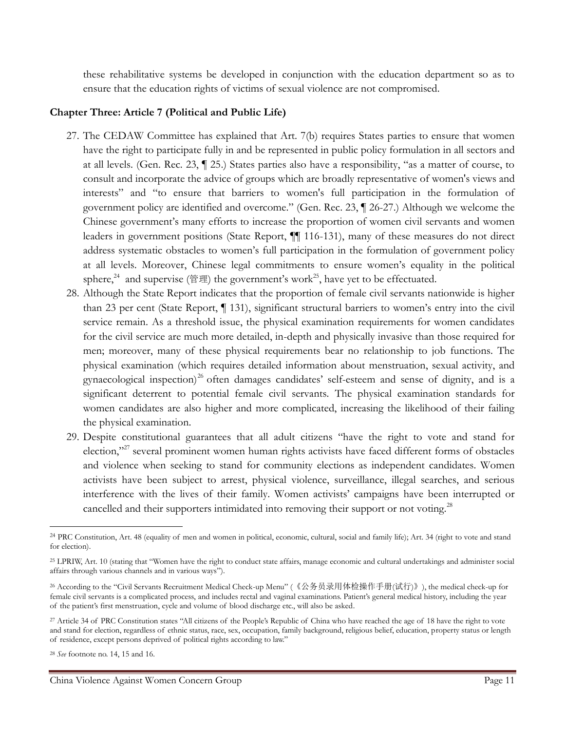these rehabilitative systems be developed in conjunction with the education department so as to ensure that the education rights of victims of sexual violence are not compromised.

## **Chapter Three: Article 7 (Political and Public Life)**

- 27. The CEDAW Committee has explained that Art. 7(b) requires States parties to ensure that women have the right to participate fully in and be represented in public policy formulation in all sectors and at all levels. (Gen. Rec. 23, ¶ 25.) States parties also have a responsibility, "as a matter of course, to consult and incorporate the advice of groups which are broadly representative of women's views and interests" and "to ensure that barriers to women's full participation in the formulation of government policy are identified and overcome." (Gen. Rec. 23, ¶ 26-27.) Although we welcome the Chinese government's many efforts to increase the proportion of women civil servants and women leaders in government positions (State Report, ¶¶ 116-131), many of these measures do not direct address systematic obstacles to women's full participation in the formulation of government policy at all levels. Moreover, Chinese legal commitments to ensure women's equality in the political sphere,<sup>24</sup> and supervise (管理) the government's work<sup>25</sup>, have yet to be effectuated.
- 28. Although the State Report indicates that the proportion of female civil servants nationwide is higher than 23 per cent (State Report, ¶ 131), significant structural barriers to women's entry into the civil service remain. As a threshold issue, the physical examination requirements for women candidates for the civil service are much more detailed, in-depth and physically invasive than those required for men; moreover, many of these physical requirements bear no relationship to job functions. The physical examination (which requires detailed information about menstruation, sexual activity, and gynaecological inspection)<sup>26</sup> often damages candidates' self-esteem and sense of dignity, and is a significant deterrent to potential female civil servants. The physical examination standards for women candidates are also higher and more complicated, increasing the likelihood of their failing the physical examination.
- 29. Despite constitutional guarantees that all adult citizens "have the right to vote and stand for election,"<sup>27</sup> several prominent women human rights activists have faced different forms of obstacles and violence when seeking to stand for community elections as independent candidates. Women activists have been subject to arrest, physical violence, surveillance, illegal searches, and serious interference with the lives of their family. Women activists' campaigns have been interrupted or cancelled and their supporters intimidated into removing their support or not voting.<sup>28</sup>

<sup>&</sup>lt;sup>24</sup> PRC Constitution, Art. 48 (equality of men and women in political, economic, cultural, social and family life); Art. 34 (right to vote and stand for election).

<sup>&</sup>lt;sup>25</sup> LPRIW, Art. 10 (stating that "Women have the right to conduct state affairs, manage economic and cultural undertakings and administer social affairs through various channels and in various ways").

<sup>26</sup> According to the "Civil Servants Recruitment Medical Check-up Menu" (《公务员录用体检操作手册(试行)》), the medical check-up for female civil servants is a complicated process, and includes rectal and vaginal examinations. Patient's general medical history, including the year of the patient's first menstruation, cycle and volume of blood discharge etc., will also be asked.

<sup>&</sup>lt;sup>27</sup> Article 34 of PRC Constitution states "All citizens of the People's Republic of China who have reached the age of 18 have the right to vote and stand for election, regardless of ethnic status, race, sex, occupation, family background, religious belief, education, property status or length of residence, except persons deprived of political rights according to law."

<sup>28</sup> *See* footnote no. 14, 15 and 16.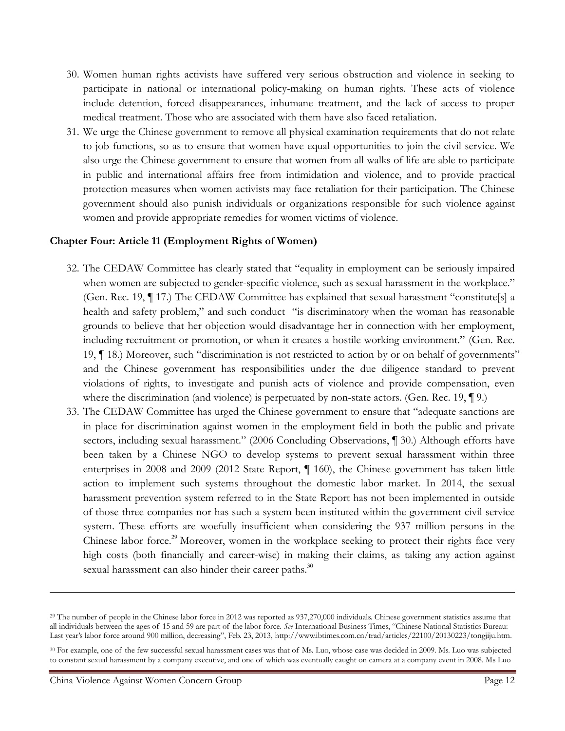- 30. Women human rights activists have suffered very serious obstruction and violence in seeking to participate in national or international policy-making on human rights. These acts of violence include detention, forced disappearances, inhumane treatment, and the lack of access to proper medical treatment. Those who are associated with them have also faced retaliation.
- 31. We urge the Chinese government to remove all physical examination requirements that do not relate to job functions, so as to ensure that women have equal opportunities to join the civil service. We also urge the Chinese government to ensure that women from all walks of life are able to participate in public and international affairs free from intimidation and violence, and to provide practical protection measures when women activists may face retaliation for their participation. The Chinese government should also punish individuals or organizations responsible for such violence against women and provide appropriate remedies for women victims of violence.

# **Chapter Four: Article 11 (Employment Rights of Women)**

- 32. The CEDAW Committee has clearly stated that "equality in employment can be seriously impaired when women are subjected to gender-specific violence, such as sexual harassment in the workplace." (Gen. Rec. 19, ¶ 17.) The CEDAW Committee has explained that sexual harassment "constitute[s] a health and safety problem," and such conduct "is discriminatory when the woman has reasonable grounds to believe that her objection would disadvantage her in connection with her employment, including recruitment or promotion, or when it creates a hostile working environment." (Gen. Rec. 19, ¶ 18.) Moreover, such "discrimination is not restricted to action by or on behalf of governments" and the Chinese government has responsibilities under the due diligence standard to prevent violations of rights, to investigate and punish acts of violence and provide compensation, even where the discrimination (and violence) is perpetuated by non-state actors. (Gen. Rec. 19, ¶ 9.)
- 33. The CEDAW Committee has urged the Chinese government to ensure that "adequate sanctions are in place for discrimination against women in the employment field in both the public and private sectors, including sexual harassment." (2006 Concluding Observations, ¶ 30.) Although efforts have been taken by a Chinese NGO to develop systems to prevent sexual harassment within three enterprises in 2008 and 2009 (2012 State Report, ¶ 160), the Chinese government has taken little action to implement such systems throughout the domestic labor market. In 2014, the sexual harassment prevention system referred to in the State Report has not been implemented in outside of those three companies nor has such a system been instituted within the government civil service system. These efforts are woefully insufficient when considering the 937 million persons in the Chinese labor force.<sup>29</sup> Moreover, women in the workplace seeking to protect their rights face very high costs (both financially and career-wise) in making their claims, as taking any action against sexual harassment can also hinder their career paths.<sup>30</sup>

l

<sup>29</sup> The number of people in the Chinese labor force in 2012 was reported as 937,270,000 individuals. Chinese government statistics assume that all individuals between the ages of 15 and 59 are part of the labor force. *See* International Business Times, "Chinese National Statistics Bureau: Last year's labor force around 900 million, decreasing", Feb. 23, 2013, [http://www.ibtimes.com.cn/trad/articles/22100/20130223/tongjiju.htm.](http://www.ibtimes.com.cn/trad/articles/22100/20130223/tongjiju.htm)

<sup>30</sup> For example, one of the few successful sexual harassment cases was that of Ms. Luo, whose case was decided in 2009. Ms. Luo was subjected to constant sexual harassment by a company executive, and one of which was eventually caught on camera at a company event in 2008. Ms Luo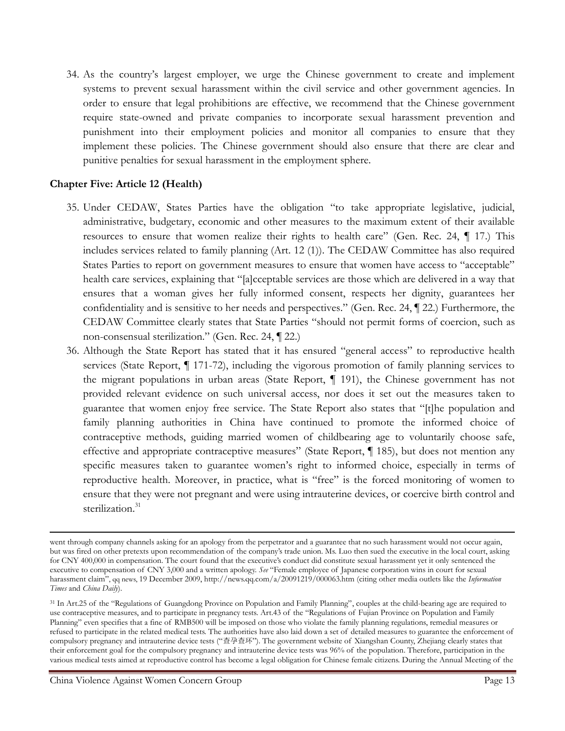34. As the country's largest employer, we urge the Chinese government to create and implement systems to prevent sexual harassment within the civil service and other government agencies. In order to ensure that legal prohibitions are effective, we recommend that the Chinese government require state-owned and private companies to incorporate sexual harassment prevention and punishment into their employment policies and monitor all companies to ensure that they implement these policies. The Chinese government should also ensure that there are clear and punitive penalties for sexual harassment in the employment sphere.

# **Chapter Five: Article 12 (Health)**

- 35. Under CEDAW, States Parties have the obligation "to take appropriate legislative, judicial, administrative, budgetary, economic and other measures to the maximum extent of their available resources to ensure that women realize their rights to health care" (Gen. Rec. 24, ¶ 17.) This includes services related to family planning (Art. 12 (1)). The CEDAW Committee has also required States Parties to report on government measures to ensure that women have access to "acceptable" health care services, explaining that "[a]cceptable services are those which are delivered in a way that ensures that a woman gives her fully informed consent, respects her dignity, guarantees her confidentiality and is sensitive to her needs and perspectives." (Gen. Rec. 24, ¶ 22.) Furthermore, the CEDAW Committee clearly states that State Parties "should not permit forms of coercion, such as non-consensual sterilization." (Gen. Rec. 24, ¶ 22.)
- 36. Although the State Report has stated that it has ensured "general access" to reproductive health services (State Report, ¶ 171-72), including the vigorous promotion of family planning services to the migrant populations in urban areas (State Report, ¶ 191), the Chinese government has not provided relevant evidence on such universal access, nor does it set out the measures taken to guarantee that women enjoy free service. The State Report also states that "[t]he population and family planning authorities in China have continued to promote the informed choice of contraceptive methods, guiding married women of childbearing age to voluntarily choose safe, effective and appropriate contraceptive measures" (State Report, ¶ 185), but does not mention any specific measures taken to guarantee women's right to informed choice, especially in terms of reproductive health. Moreover, in practice, what is "free" is the forced monitoring of women to ensure that they were not pregnant and were using intrauterine devices, or coercive birth control and sterilization.<sup>31</sup>

went through company channels asking for an apology from the perpetrator and a guarantee that no such harassment would not occur again, but was fired on other pretexts upon recommendation of the company's trade union. Ms. Luo then sued the executive in the local court, asking for CNY 400,000 in compensation. The court found that the executive's conduct did constitute sexual harassment yet it only sentenced the executive to compensation of CNY 3,000 and a written apology. *See* "Female employee of Japanese corporation wins in court for sexual harassment claim", qq news, 19 December 2009[, http://news.qq.com/a/20091219/000063.htm](http://news.qq.com/a/20091219/000063.htm) (citing other media outlets like the *Information Times* and *China Daily*).

<sup>31</sup> In Art.25 of the "Regulations of Guangdong Province on Population and Family Planning", couples at the child-bearing age are required to use contraceptive measures, and to participate in pregnancy tests. Art.43 of the "Regulations of Fujian Province on Population and Family Planning" even specifies that a fine of RMB500 will be imposed on those who violate the family planning regulations, remedial measures or refused to participate in the related medical tests. The authorities have also laid down a set of detailed measures to guarantee the enforcement of compulsory pregnancy and intrauterine device tests ("查孕查环"). The government website of Xiangshan County, Zhejiang clearly states that their enforcement goal for the compulsory pregnancy and intrauterine device tests was 96% of the population. Therefore, participation in the various medical tests aimed at reproductive control has become a legal obligation for Chinese female citizens. During the Annual Meeting of the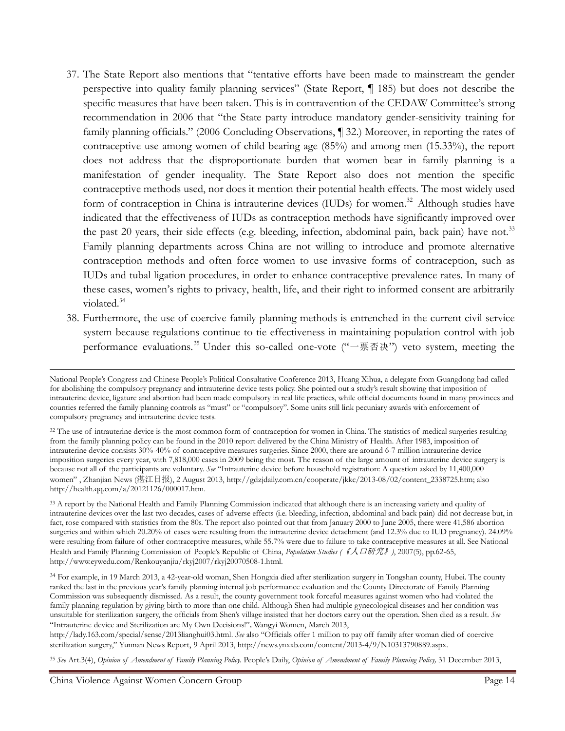- 37. The State Report also mentions that "tentative efforts have been made to mainstream the gender perspective into quality family planning services" (State Report, ¶ 185) but does not describe the specific measures that have been taken. This is in contravention of the CEDAW Committee's strong recommendation in 2006 that "the State party introduce mandatory gender-sensitivity training for family planning officials." (2006 Concluding Observations, ¶ 32.) Moreover, in reporting the rates of contraceptive use among women of child bearing age (85%) and among men (15.33%), the report does not address that the disproportionate burden that women bear in family planning is a manifestation of gender inequality. The State Report also does not mention the specific contraceptive methods used, nor does it mention their potential health effects. The most widely used form of contraception in China is intrauterine devices (IUDs) for women.<sup>32</sup> Although studies have indicated that the effectiveness of IUDs as contraception methods have significantly improved over the past 20 years, their side effects (e.g. bleeding, infection, abdominal pain, back pain) have not.<sup>33</sup> Family planning departments across China are not willing to introduce and promote alternative contraception methods and often force women to use invasive forms of contraception, such as IUDs and tubal ligation procedures, in order to enhance contraceptive prevalence rates. In many of these cases, women's rights to privacy, health, life, and their right to informed consent are arbitrarily violated.<sup>34</sup>
- 38. Furthermore, the use of coercive family planning methods is entrenched in the current civil service system because regulations continue to tie effectiveness in maintaining population control with job performance evaluations.<sup>35</sup> Under this so-called one-vote (" $-\frac{1}{2}$ ) veto system, meeting the

National People's Congress and Chinese People's Political Consultative Conference 2013, Huang Xihua, a delegate from Guangdong had called for abolishing the compulsory pregnancy and intrauterine device tests policy. She pointed out a study's result showing that imposition of intrauterine device, ligature and abortion had been made compulsory in real life practices, while official documents found in many provinces and counties referred the family planning controls as "must" or "compulsory". Some units still link pecuniary awards with enforcement of compulsory pregnancy and intrauterine device tests.

<sup>32</sup> The use of intrauterine device is the most common form of contraception for women in China. The statistics of medical surgeries resulting from the family planning policy can be found in the 2010 report delivered by the China Ministry of Health. After 1983, imposition of intrauterine device consists 30%-40% of contraceptive measures surgeries. Since 2000, there are around 6-7 million intrauterine device imposition surgeries every year, with 7,818,000 cases in 2009 being the most. The reason of the large amount of intrauterine device surgery is because not all of the participants are voluntary. *See* "Intrauterine device before household registration: A question asked by 11,400,000 women" , Zhanjian News (湛江日报), 2 August 2013[, http://gdzjdaily.com.cn/cooperate/jkkc/2013-08/02/content\\_2338725.htm;](http://gdzjdaily.com.cn/cooperate/jkkc/2013-08/02/content_2338725.htm) also [http://health.qq.com/a/20121126/000017.htm.](http://health.qq.com/a/20121126/000017.htm) 

<sup>&</sup>lt;sup>33</sup> A report by the National Health and Family Planning Commission indicated that although there is an increasing variety and quality of intrauterine devices over the last two decades, cases of adverse effects (i.e. bleeding, infection, abdominal and back pain) did not decrease but, in fact, rose compared with statistics from the 80s. The report also pointed out that from January 2000 to June 2005, there were 41,586 abortion surgeries and within which 20.20% of cases were resulting from the intrauterine device detachment (and 12.3% due to IUD pregnancy). 24.09% were resulting from failure of other contraceptive measures, while 55.7% were due to failure to take contraceptive measures at all. See National Health and Family Planning Commission of People's Republic of China, *Population Studies (*《人口研究》*)*, 2007(5), pp.62-65, http://www.eywedu.com/Renkouyanjiu/rkyj2007/rkyj20070508-1.html.

<sup>34</sup> For example, in 19 March 2013, a 42-year-old woman, Shen Hongxia died after sterilization surgery in Tongshan county, Hubei. The county ranked the last in the previous year's family planning internal job performance evaluation and the County Directorate of Family Planning Commission was subsequently dismissed. As a result, the county government took forceful measures against women who had violated the family planning regulation by giving birth to more than one child. Although Shen had multiple gynecological diseases and her condition was unsuitable for sterilization surgery, the officials from Shen's village insisted that her doctors carry out the operation. Shen died as a result. *See* "Intrauterine device and Sterilization are My Own Decisions!", Wangyi Women, March 2013,

[http://lady.163.com/special/sense/2013lianghui03.html.](http://lady.163.com/special/sense/2013lianghui03.html) *See* also "Officials offer 1 million to pay off family after woman died of coercive sterilization surgery," Yunnan News Report, 9 April 2013[, http://news.ynxxb.com/content/2013-4/9/N10313790889.aspx.](http://news.ynxxb.com/content/2013-4/9/N10313790889.aspx) 

<sup>35</sup> *See* Art.3(4), *Opinion of Amendment of Family Planning Policy.* People's Daily, *Opinion of Amendment of Family Planning Policy,* 31 December 2013,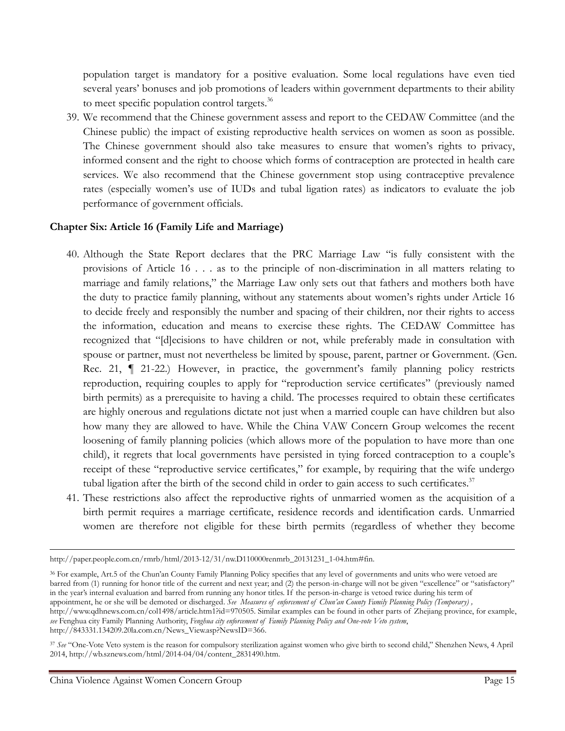population target is mandatory for a positive evaluation. Some local regulations have even tied several years' bonuses and job promotions of leaders within government departments to their ability to meet specific population control targets.<sup>36</sup>

39. We recommend that the Chinese government assess and report to the CEDAW Committee (and the Chinese public) the impact of existing reproductive health services on women as soon as possible. The Chinese government should also take measures to ensure that women's rights to privacy, informed consent and the right to choose which forms of contraception are protected in health care services. We also recommend that the Chinese government stop using contraceptive prevalence rates (especially women's use of IUDs and tubal ligation rates) as indicators to evaluate the job performance of government officials.

# **Chapter Six: Article 16 (Family Life and Marriage)**

- 40. Although the State Report declares that the PRC Marriage Law "is fully consistent with the provisions of Article 16 . . . as to the principle of non-discrimination in all matters relating to marriage and family relations," the Marriage Law only sets out that fathers and mothers both have the duty to practice family planning, without any statements about women's rights under Article 16 to decide freely and responsibly the number and spacing of their children, nor their rights to access the information, education and means to exercise these rights. The CEDAW Committee has recognized that "[d]ecisions to have children or not, while preferably made in consultation with spouse or partner, must not nevertheless be limited by spouse, parent, partner or Government. (Gen. Rec. 21,  $\parallel$  21-22.) However, in practice, the government's family planning policy restricts reproduction, requiring couples to apply for "reproduction service certificates" (previously named birth permits) as a prerequisite to having a child. The processes required to obtain these certificates are highly onerous and regulations dictate not just when a married couple can have children but also how many they are allowed to have. While the China VAW Concern Group welcomes the recent loosening of family planning policies (which allows more of the population to have more than one child), it regrets that local governments have persisted in tying forced contraception to a couple's receipt of these "reproductive service certificates," for example, by requiring that the wife undergo tubal ligation after the birth of the second child in order to gain access to such certificates.<sup>37</sup>
- 41. These restrictions also affect the reproductive rights of unmarried women as the acquisition of a birth permit requires a marriage certificate, residence records and identification cards. Unmarried women are therefore not eligible for these birth permits (regardless of whether they become

 $\overline{a}$ [http://paper.people.com.cn/rmrb/html/2013-12/31/nw.D110000renmrb\\_20131231\\_1-04.htm#fin.](http://paper.people.com.cn/rmrb/html/2013-12/31/nw.D110000renmrb_20131231_1-04.htm#fin)

<sup>36</sup> For example, Art.5 of the Chun'an County Family Planning Policy specifies that any level of governments and units who were vetoed are barred from (1) running for honor title of the current and next year; and (2) the person-in-charge will not be given "excellence" or "satisfactory" in the year's internal evaluation and barred from running any honor titles. If the person-in-charge is vetoed twice during his term of appointment, he or she will be demoted or discharged. *See Measures of enforcement of Chun'an County Family Planning Policy (Temporary) ,*  [http://www.qdhnews.com.cn/col1498/article.htm1?id=970505.](http://www.qdhnews.com.cn/col1498/article.htm1?id=970505) Similar examples can be found in other parts of Zhejiang province, for example, *see* Fenghua city Family Planning Authority, *Fenghua city enforcement of Family Planning Policy and One-vote Veto system*, [http://843331.134209.20la.com.cn/News\\_View.asp?NewsID=366.](http://843331.134209.20la.com.cn/News_View.asp?NewsID=366)

<sup>37</sup> *See* "One-Vote Veto system is the reason for compulsory sterilization against women who give birth to second child," Shenzhen News, 4 April 2014, [http://wb.sznews.com/html/2014-04/04/content\\_2831490.htm.](http://wb.sznews.com/html/2014-04/04/content_2831490.htm)